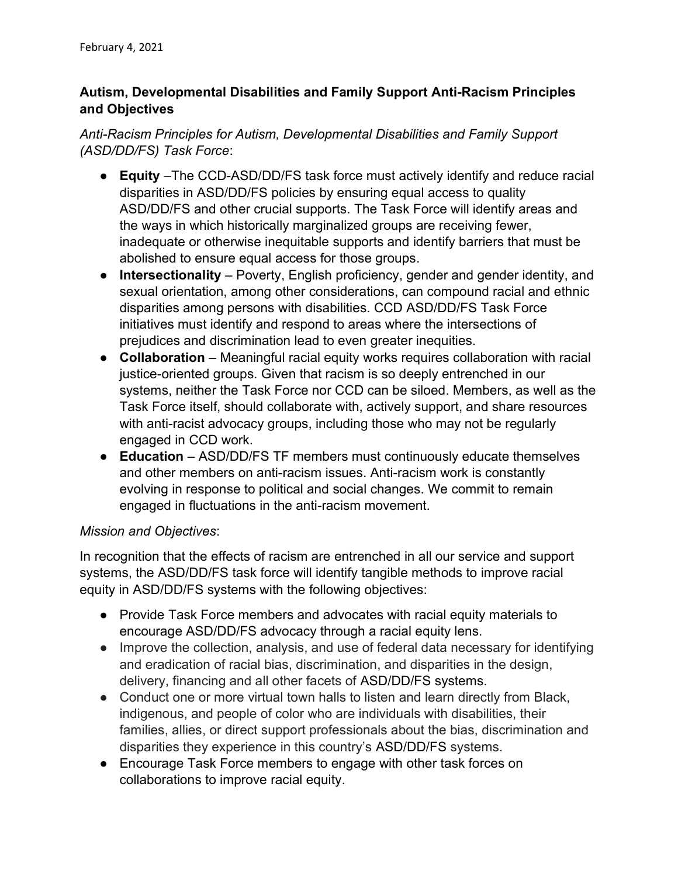## Autism, Developmental Disabilities and Family Support Anti-Racism Principles and Objectives

Anti-Racism Principles for Autism, Developmental Disabilities and Family Support (ASD/DD/FS) Task Force:

- Equity –The CCD-ASD/DD/FS task force must actively identify and reduce racial disparities in ASD/DD/FS policies by ensuring equal access to quality ASD/DD/FS and other crucial supports. The Task Force will identify areas and the ways in which historically marginalized groups are receiving fewer, inadequate or otherwise inequitable supports and identify barriers that must be abolished to ensure equal access for those groups.
- Intersectionality Poverty, English proficiency, gender and gender identity, and sexual orientation, among other considerations, can compound racial and ethnic disparities among persons with disabilities. CCD ASD/DD/FS Task Force initiatives must identify and respond to areas where the intersections of prejudices and discrimination lead to even greater inequities.
- Collaboration Meaningful racial equity works requires collaboration with racial justice-oriented groups. Given that racism is so deeply entrenched in our systems, neither the Task Force nor CCD can be siloed. Members, as well as the Task Force itself, should collaborate with, actively support, and share resources with anti-racist advocacy groups, including those who may not be regularly engaged in CCD work.
- Education ASD/DD/FS TF members must continuously educate themselves and other members on anti-racism issues. Anti-racism work is constantly evolving in response to political and social changes. We commit to remain engaged in fluctuations in the anti-racism movement.

## Mission and Objectives:

In recognition that the effects of racism are entrenched in all our service and support systems, the ASD/DD/FS task force will identify tangible methods to improve racial equity in ASD/DD/FS systems with the following objectives:

- Provide Task Force members and advocates with racial equity materials to encourage ASD/DD/FS advocacy through a racial equity lens.
- Improve the collection, analysis, and use of federal data necessary for identifying and eradication of racial bias, discrimination, and disparities in the design, delivery, financing and all other facets of ASD/DD/FS systems.
- Conduct one or more virtual town halls to listen and learn directly from Black, indigenous, and people of color who are individuals with disabilities, their families, allies, or direct support professionals about the bias, discrimination and disparities they experience in this country's ASD/DD/FS systems.
- Encourage Task Force members to engage with other task forces on collaborations to improve racial equity.